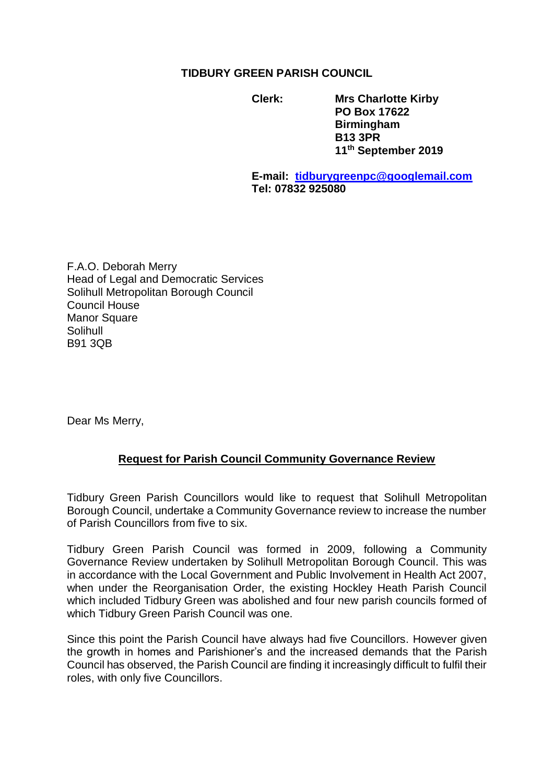## **TIDBURY GREEN PARISH COUNCIL**

**Clerk: Mrs Charlotte Kirby PO Box 17622 Birmingham B13 3PR 11th September 2019**

**E-mail: [tidburygreenpc@googlemail.com](mailto:tidburygreenpc@googlemail.com) Tel: 07832 925080**

F.A.O. Deborah Merry Head of Legal and Democratic Services Solihull Metropolitan Borough Council Council House Manor Square Solihull B91 3QB

Dear Ms Merry,

## **Request for Parish Council Community Governance Review**

Tidbury Green Parish Councillors would like to request that Solihull Metropolitan Borough Council, undertake a Community Governance review to increase the number of Parish Councillors from five to six.

Tidbury Green Parish Council was formed in 2009, following a Community Governance Review undertaken by Solihull Metropolitan Borough Council. This was in accordance with the Local Government and Public Involvement in Health Act 2007, when under the Reorganisation Order, the existing Hockley Heath Parish Council which included Tidbury Green was abolished and four new parish councils formed of which Tidbury Green Parish Council was one.

Since this point the Parish Council have always had five Councillors. However given the growth in homes and Parishioner's and the increased demands that the Parish Council has observed, the Parish Council are finding it increasingly difficult to fulfil their roles, with only five Councillors.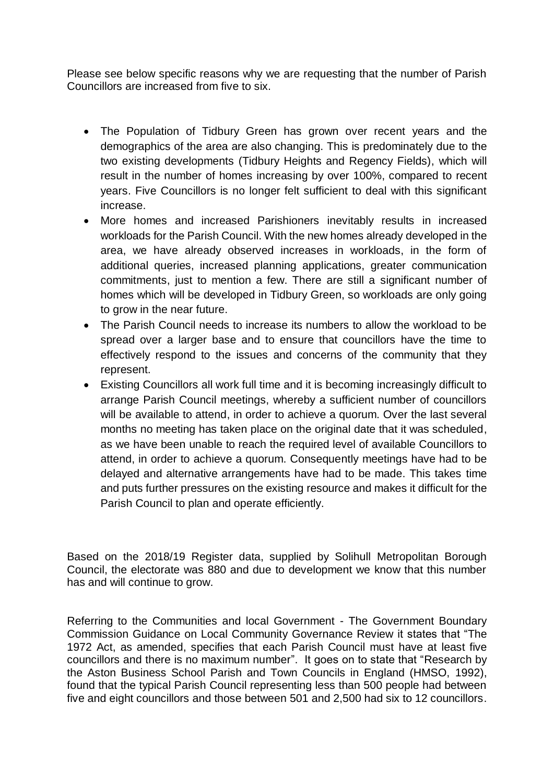Please see below specific reasons why we are requesting that the number of Parish Councillors are increased from five to six.

- The Population of Tidbury Green has grown over recent years and the demographics of the area are also changing. This is predominately due to the two existing developments (Tidbury Heights and Regency Fields), which will result in the number of homes increasing by over 100%, compared to recent years. Five Councillors is no longer felt sufficient to deal with this significant increase.
- More homes and increased Parishioners inevitably results in increased workloads for the Parish Council. With the new homes already developed in the area, we have already observed increases in workloads, in the form of additional queries, increased planning applications, greater communication commitments, just to mention a few. There are still a significant number of homes which will be developed in Tidbury Green, so workloads are only going to grow in the near future.
- The Parish Council needs to increase its numbers to allow the workload to be spread over a larger base and to ensure that councillors have the time to effectively respond to the issues and concerns of the community that they represent.
- Existing Councillors all work full time and it is becoming increasingly difficult to arrange Parish Council meetings, whereby a sufficient number of councillors will be available to attend, in order to achieve a quorum. Over the last several months no meeting has taken place on the original date that it was scheduled, as we have been unable to reach the required level of available Councillors to attend, in order to achieve a quorum. Consequently meetings have had to be delayed and alternative arrangements have had to be made. This takes time and puts further pressures on the existing resource and makes it difficult for the Parish Council to plan and operate efficiently.

Based on the 2018/19 Register data, supplied by Solihull Metropolitan Borough Council, the electorate was 880 and due to development we know that this number has and will continue to grow.

Referring to the Communities and local Government - The Government Boundary Commission Guidance on Local Community Governance Review it states that "The 1972 Act, as amended, specifies that each Parish Council must have at least five councillors and there is no maximum number". It goes on to state that "Research by the Aston Business School Parish and Town Councils in England (HMSO, 1992), found that the typical Parish Council representing less than 500 people had between five and eight councillors and those between 501 and 2,500 had six to 12 councillors.